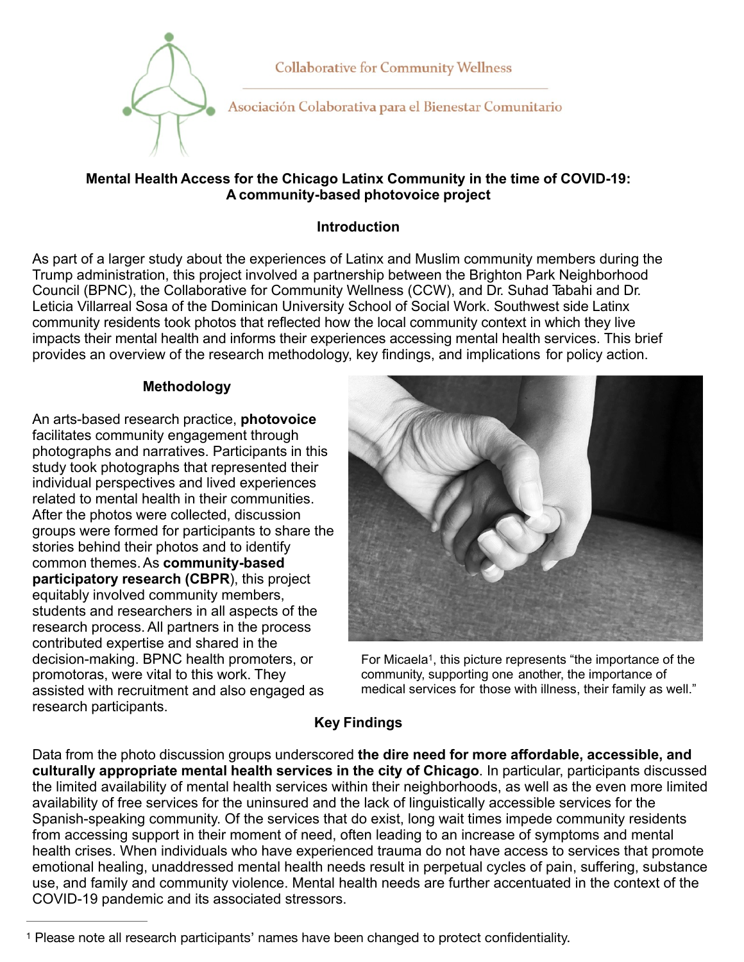

**Collaborative for Community Wellness** 

Asociación Colaborativa para el Bienestar Comunitario

### **Mental Health Access for the Chicago Latinx Community in the time of COVID-19: A community-based photovoice project**

## **Introduction**

As part of a larger study about the experiences of Latinx and Muslim community members during the Trump administration, this project involved a partnership between the Brighton Park Neighborhood Council (BPNC), the Collaborative for Community Wellness (CCW), and Dr. Suhad Tabahi and Dr. Leticia Villarreal Sosa of the Dominican University School of Social Work. Southwest side Latinx community residents took photos that reflected how the local community context in which they live impacts their mental health and informs their experiences accessing mental health services. This brief provides an overview of the research methodology, key findings, and implications for policy action.

### **Methodology**

An arts-based research practice, **photovoice**  facilitates community engagement through photographs and narratives. Participants in this study took photographs that represented their individual perspectives and lived experiences related to mental health in their communities. After the photos were collected, discussion groups were formed for participants to share the stories behind their photos and to identify common themes.As **community-based participatory research (CBPR**), this project equitably involved community members, students and researchers in all aspects of the research process.All partners in the process contributed expertise and shared in the decision-making. BPNC health promoters, or promotoras, were vital to this work. They assisted with recruitment and also engaged as research participants.



For Micaela[1](#page-0-0), this picture represents "the importance of the community, supporting one another, the importance of medical services for those with illness, their family as well."

# <span id="page-0-1"></span>**Key Findings**

Data from the photo discussion groups underscored **the dire need for more affordable, accessible, and culturally appropriate mental health services in the city of Chicago**. In particular, participants discussed the limited availability of mental health services within their neighborhoods, as well as the even more limited availability of free services for the uninsured and the lack of linguistically accessible services for the Spanish-speaking community. Of the services that do exist, long wait times impede community residents from accessing support in their moment of need, often leading to an increase of symptoms and mental health crises. When individuals who have experienced trauma do not have access to services that promote emotional healing, unaddressed mental health needs result in perpetual cycles of pain, suffering, substance use, and family and community violence. Mental health needs are further accentuated in the context of the COVID-19 pandemic and its associated stressors.

<span id="page-0-0"></span>Please note all research participants' names have been changed to protect confidentiality. [1](#page-0-1)